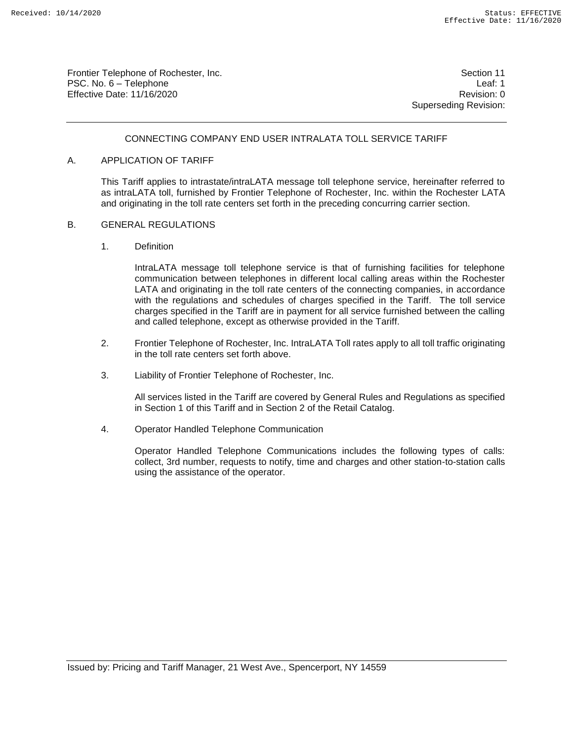Frontier Telephone of Rochester, Inc. Section 11 PSC. No. 6 – Telephone Leaf: 1 Effective Date: 11/16/2020 **Review Accounts** Effective Date: 0

Superseding Revision:

#### CONNECTING COMPANY END USER INTRALATA TOLL SERVICE TARIFF

#### A. APPLICATION OF TARIFF

This Tariff applies to intrastate/intraLATA message toll telephone service, hereinafter referred to as intraLATA toll, furnished by Frontier Telephone of Rochester, Inc. within the Rochester LATA and originating in the toll rate centers set forth in the preceding concurring carrier section.

#### B. GENERAL REGULATIONS

1. Definition

IntraLATA message toll telephone service is that of furnishing facilities for telephone communication between telephones in different local calling areas within the Rochester LATA and originating in the toll rate centers of the connecting companies, in accordance with the regulations and schedules of charges specified in the Tariff. The toll service charges specified in the Tariff are in payment for all service furnished between the calling and called telephone, except as otherwise provided in the Tariff.

- 2. Frontier Telephone of Rochester, Inc. IntraLATA Toll rates apply to all toll traffic originating in the toll rate centers set forth above.
- 3. Liability of Frontier Telephone of Rochester, Inc.

All services listed in the Tariff are covered by General Rules and Regulations as specified in Section 1 of this Tariff and in Section 2 of the Retail Catalog.

4. Operator Handled Telephone Communication

Operator Handled Telephone Communications includes the following types of calls: collect, 3rd number, requests to notify, time and charges and other station-to-station calls using the assistance of the operator.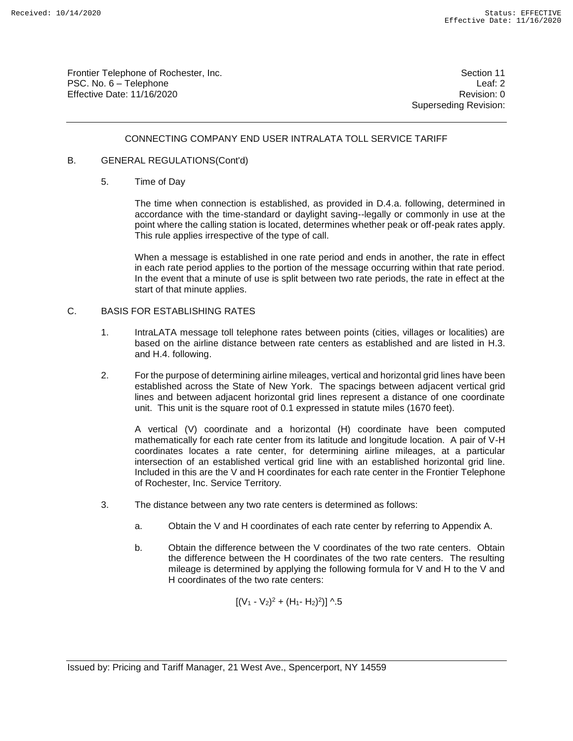Frontier Telephone of Rochester, Inc. Section 11 PSC. No. 6 – Telephone Leaf: 2 Effective Date: 11/16/2020 **Review Accounts** Effective Date: 0

Superseding Revision:

### CONNECTING COMPANY END USER INTRALATA TOLL SERVICE TARIFF

#### B. GENERAL REGULATIONS(Cont'd)

5. Time of Day

The time when connection is established, as provided in D.4.a. following, determined in accordance with the time-standard or daylight saving--legally or commonly in use at the point where the calling station is located, determines whether peak or off-peak rates apply. This rule applies irrespective of the type of call.

When a message is established in one rate period and ends in another, the rate in effect in each rate period applies to the portion of the message occurring within that rate period. In the event that a minute of use is split between two rate periods, the rate in effect at the start of that minute applies.

#### C. BASIS FOR ESTABLISHING RATES

- 1. IntraLATA message toll telephone rates between points (cities, villages or localities) are based on the airline distance between rate centers as established and are listed in H.3. and H.4. following.
- 2. For the purpose of determining airline mileages, vertical and horizontal grid lines have been established across the State of New York. The spacings between adjacent vertical grid lines and between adjacent horizontal grid lines represent a distance of one coordinate unit. This unit is the square root of 0.1 expressed in statute miles (1670 feet).

A vertical (V) coordinate and a horizontal (H) coordinate have been computed mathematically for each rate center from its latitude and longitude location. A pair of V-H coordinates locates a rate center, for determining airline mileages, at a particular intersection of an established vertical grid line with an established horizontal grid line. Included in this are the V and H coordinates for each rate center in the Frontier Telephone of Rochester, Inc. Service Territory.

- 3. The distance between any two rate centers is determined as follows:
	- a. Obtain the V and H coordinates of each rate center by referring to Appendix A.
	- b. Obtain the difference between the V coordinates of the two rate centers. Obtain the difference between the H coordinates of the two rate centers. The resulting mileage is determined by applying the following formula for V and H to the V and H coordinates of the two rate centers:

$$
[(V_1 - V_2)^2 + (H_1 - H_2)^2)] \wedge 5
$$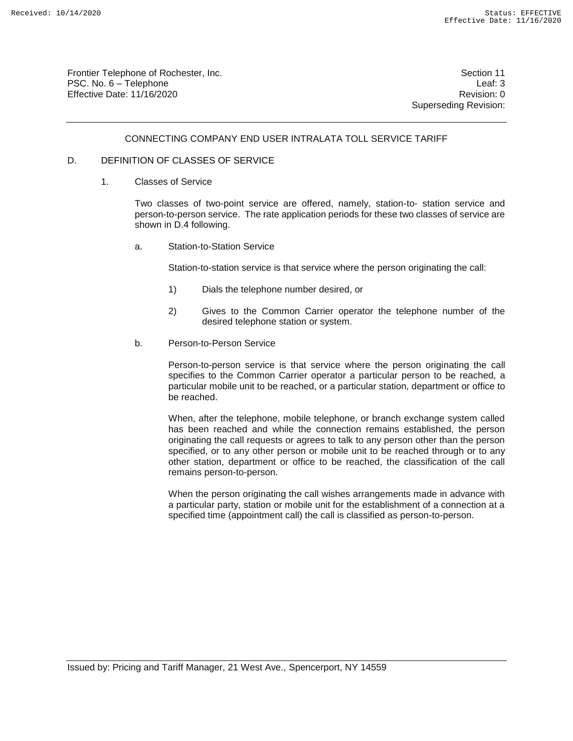Frontier Telephone of Rochester, Inc. Section 11 PSC. No. 6 – Telephone Leaf: 3 Effective Date: 11/16/2020 **Review Accounts** Effective Date: 0

Superseding Revision:

#### CONNECTING COMPANY END USER INTRALATA TOLL SERVICE TARIFF

#### D. DEFINITION OF CLASSES OF SERVICE

1. Classes of Service

Two classes of two-point service are offered, namely, station-to- station service and person-to-person service. The rate application periods for these two classes of service are shown in D.4 following.

a. Station-to-Station Service

Station-to-station service is that service where the person originating the call:

- 1) Dials the telephone number desired, or
- 2) Gives to the Common Carrier operator the telephone number of the desired telephone station or system.
- b. Person-to-Person Service

Person-to-person service is that service where the person originating the call specifies to the Common Carrier operator a particular person to be reached, a particular mobile unit to be reached, or a particular station, department or office to be reached.

When, after the telephone, mobile telephone, or branch exchange system called has been reached and while the connection remains established, the person originating the call requests or agrees to talk to any person other than the person specified, or to any other person or mobile unit to be reached through or to any other station, department or office to be reached, the classification of the call remains person-to-person.

When the person originating the call wishes arrangements made in advance with a particular party, station or mobile unit for the establishment of a connection at a specified time (appointment call) the call is classified as person-to-person.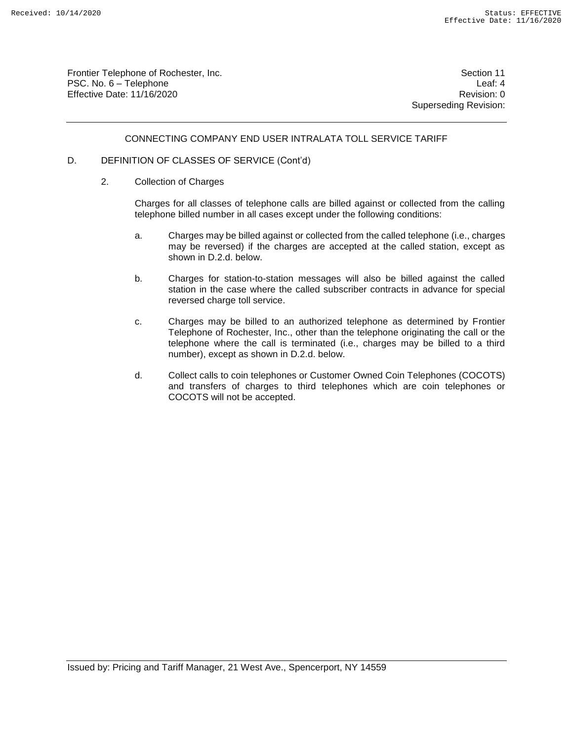Frontier Telephone of Rochester, Inc. Section 11 PSC. No. 6 – Telephone Leaf: 4 Effective Date: 11/16/2020 **Review Account 2018** Revision: 0

Superseding Revision:

#### CONNECTING COMPANY END USER INTRALATA TOLL SERVICE TARIFF

#### D. DEFINITION OF CLASSES OF SERVICE (Cont'd)

2. Collection of Charges

Charges for all classes of telephone calls are billed against or collected from the calling telephone billed number in all cases except under the following conditions:

- a. Charges may be billed against or collected from the called telephone (i.e., charges may be reversed) if the charges are accepted at the called station, except as shown in D.2.d. below.
- b. Charges for station-to-station messages will also be billed against the called station in the case where the called subscriber contracts in advance for special reversed charge toll service.
- c. Charges may be billed to an authorized telephone as determined by Frontier Telephone of Rochester, Inc., other than the telephone originating the call or the telephone where the call is terminated (i.e., charges may be billed to a third number), except as shown in D.2.d. below.
- d. Collect calls to coin telephones or Customer Owned Coin Telephones (COCOTS) and transfers of charges to third telephones which are coin telephones or COCOTS will not be accepted.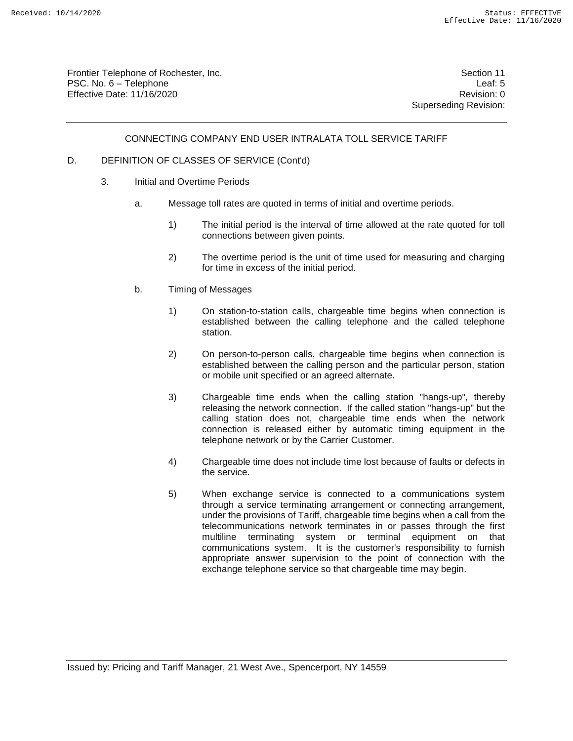Frontier Telephone of Rochester, Inc. Section 11 PSC. No. 6 – Telephone Leaf: 5 Effective Date: 11/16/2020 **Review Account 2018** Revision: 0

Superseding Revision:

#### CONNECTING COMPANY END USER INTRALATA TOLL SERVICE TARIFF

#### D. DEFINITION OF CLASSES OF SERVICE (Cont'd)

- 3. Initial and Overtime Periods
	- a. Message toll rates are quoted in terms of initial and overtime periods.
		- 1) The initial period is the interval of time allowed at the rate quoted for toll connections between given points.
		- 2) The overtime period is the unit of time used for measuring and charging for time in excess of the initial period.
	- b. Timing of Messages
		- 1) On station-to-station calls, chargeable time begins when connection is established between the calling telephone and the called telephone station.
		- 2) On person-to-person calls, chargeable time begins when connection is established between the calling person and the particular person, station or mobile unit specified or an agreed alternate.
		- 3) Chargeable time ends when the calling station "hangs-up", thereby releasing the network connection. If the called station "hangs-up" but the calling station does not, chargeable time ends when the network connection is released either by automatic timing equipment in the telephone network or by the Carrier Customer.
		- 4) Chargeable time does not include time lost because of faults or defects in the service.
		- 5) When exchange service is connected to a communications system through a service terminating arrangement or connecting arrangement, under the provisions of Tariff, chargeable time begins when a call from the telecommunications network terminates in or passes through the first multiline terminating system or terminal equipment on that communications system. It is the customer's responsibility to furnish appropriate answer supervision to the point of connection with the exchange telephone service so that chargeable time may begin.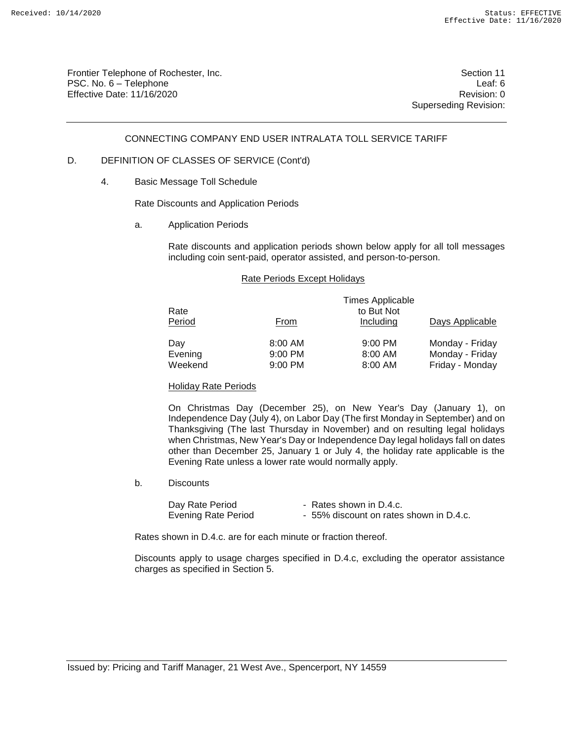Frontier Telephone of Rochester, Inc. Section 11 PSC. No. 6 – Telephone Leaf: 6 Effective Date: 11/16/2020 **Review Account 2018** Revision: 0

Superseding Revision:

#### CONNECTING COMPANY END USER INTRALATA TOLL SERVICE TARIFF

#### D. DEFINITION OF CLASSES OF SERVICE (Cont'd)

4. Basic Message Toll Schedule

Rate Discounts and Application Periods

a. Application Periods

Rate discounts and application periods shown below apply for all toll messages including coin sent-paid, operator assisted, and person-to-person.

#### Rate Periods Except Holidays

| Rate<br>Period | From      | <b>Times Applicable</b><br>to But Not<br>Including | Days Applicable |
|----------------|-----------|----------------------------------------------------|-----------------|
| Day            | 8:00 AM   | $9:00$ PM                                          | Monday - Friday |
| Evening        | $9:00$ PM | 8:00 AM                                            | Monday - Friday |
| Weekend        | 9:00 PM   | 8:00 AM                                            | Friday - Monday |

#### Holiday Rate Periods

On Christmas Day (December 25), on New Year's Day (January 1), on Independence Day (July 4), on Labor Day (The first Monday in September) and on Thanksgiving (The last Thursday in November) and on resulting legal holidays when Christmas, New Year's Day or Independence Day legal holidays fall on dates other than December 25, January 1 or July 4, the holiday rate applicable is the Evening Rate unless a lower rate would normally apply.

b. Discounts

| Day Rate Period            | - Rates shown in D.4.c.                 |
|----------------------------|-----------------------------------------|
| <b>Evening Rate Period</b> | - 55% discount on rates shown in D.4.c. |

Rates shown in D.4.c. are for each minute or fraction thereof.

 Discounts apply to usage charges specified in D.4.c, excluding the operator assistance charges as specified in Section 5.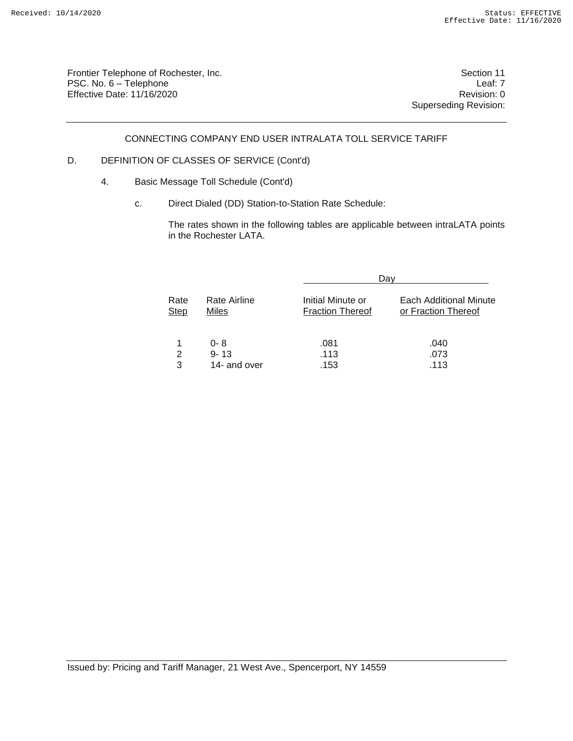Frontier Telephone of Rochester, Inc. Section 11 PSC. No. 6 – Telephone Leaf: 7<br>Effective Date: 11/16/2020 CHE CONSERVENTING Revision: 0 Effective Date:  $11/16/2020$ 

Superseding Revision:

CONNECTING COMPANY END USER INTRALATA TOLL SERVICE TARIFF

## D. DEFINITION OF CLASSES OF SERVICE (Cont'd)

- 4. Basic Message Toll Schedule (Cont'd)
	- c. Direct Dialed (DD) Station-to-Station Rate Schedule:

The rates shown in the following tables are applicable between intraLATA points in the Rochester LATA.

|                     |                                     |                                              | Dav                                           |
|---------------------|-------------------------------------|----------------------------------------------|-----------------------------------------------|
| Rate<br><b>Step</b> | Rate Airline<br>Miles               | Initial Minute or<br><b>Fraction Thereof</b> | Each Additional Minute<br>or Fraction Thereof |
| 2<br>3              | $0 - 8$<br>$9 - 13$<br>14- and over | .081<br>.113<br>.153                         | .040<br>.073<br>.113                          |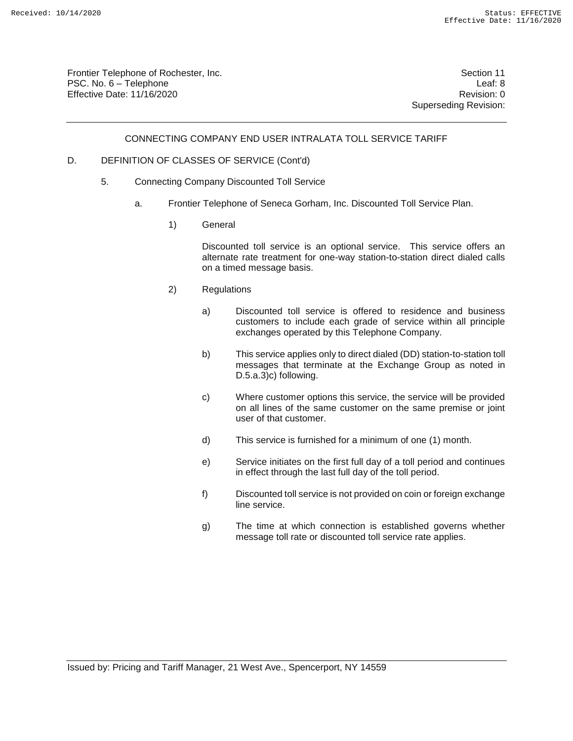Frontier Telephone of Rochester, Inc. Section 11 PSC. No. 6 – Telephone Leaf: 8 Effective Date: 11/16/2020 **Review Account 2018** Revision: 0

Superseding Revision:

#### CONNECTING COMPANY END USER INTRALATA TOLL SERVICE TARIFF

#### D. DEFINITION OF CLASSES OF SERVICE (Cont'd)

- 5. Connecting Company Discounted Toll Service
	- a. Frontier Telephone of Seneca Gorham, Inc. Discounted Toll Service Plan.
		- 1) General

Discounted toll service is an optional service. This service offers an alternate rate treatment for one-way station-to-station direct dialed calls on a timed message basis.

- 2) Regulations
	- a) Discounted toll service is offered to residence and business customers to include each grade of service within all principle exchanges operated by this Telephone Company.
	- b) This service applies only to direct dialed (DD) station-to-station toll messages that terminate at the Exchange Group as noted in D.5.a.3)c) following.
	- c) Where customer options this service, the service will be provided on all lines of the same customer on the same premise or joint user of that customer.
	- d) This service is furnished for a minimum of one (1) month.
	- e) Service initiates on the first full day of a toll period and continues in effect through the last full day of the toll period.
	- f) Discounted toll service is not provided on coin or foreign exchange line service.
	- g) The time at which connection is established governs whether message toll rate or discounted toll service rate applies.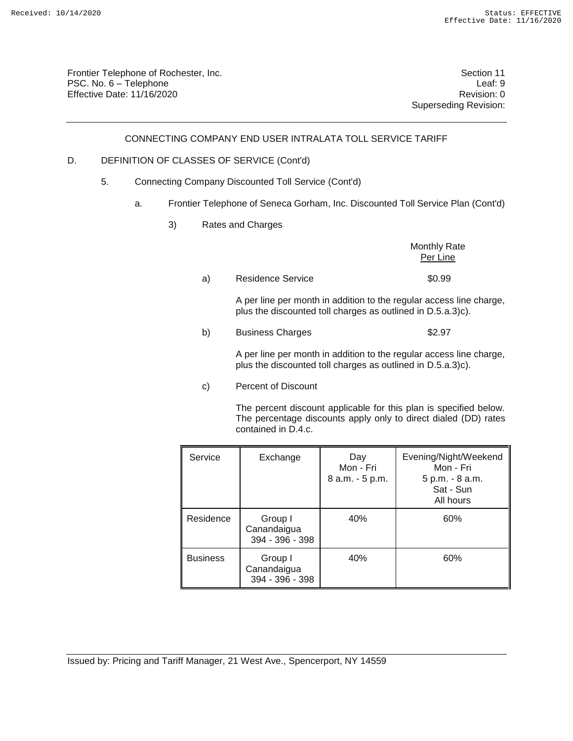Frontier Telephone of Rochester, Inc. Section 11 PSC. No. 6 – Telephone Leaf: 9 Effective Date: 11/16/2020 **Review Account 2018** Revision: 0

Superseding Revision:

#### CONNECTING COMPANY END USER INTRALATA TOLL SERVICE TARIFF

#### D. DEFINITION OF CLASSES OF SERVICE (Cont'd)

- 5. Connecting Company Discounted Toll Service (Cont'd)
	- a. Frontier Telephone of Seneca Gorham, Inc. Discounted Toll Service Plan (Cont'd)
		- 3) Rates and Charges

Monthly Rate Per Line a) Residence Service **\$0.99** A per line per month in addition to the regular access line charge, plus the discounted toll charges as outlined in D.5.a.3)c). b) Business Charges  $$2.97$ A per line per month in addition to the regular access line charge, plus the discounted toll charges as outlined in D.5.a.3)c).

c) Percent of Discount

The percent discount applicable for this plan is specified below. The percentage discounts apply only to direct dialed (DD) rates contained in D.4.c.

| Service         | Exchange                                  | Day<br>Mon - Fri<br>8 a.m. - 5 p.m. | Evening/Night/Weekend<br>Mon - Fri<br>5 p.m. - 8 a.m.<br>Sat - Sun<br>All hours |
|-----------------|-------------------------------------------|-------------------------------------|---------------------------------------------------------------------------------|
| Residence       | Group I<br>Canandaigua<br>394 - 396 - 398 | 40%                                 | 60%                                                                             |
| <b>Business</b> | Group I<br>Canandaigua<br>394 - 396 - 398 | 40%                                 | 60%                                                                             |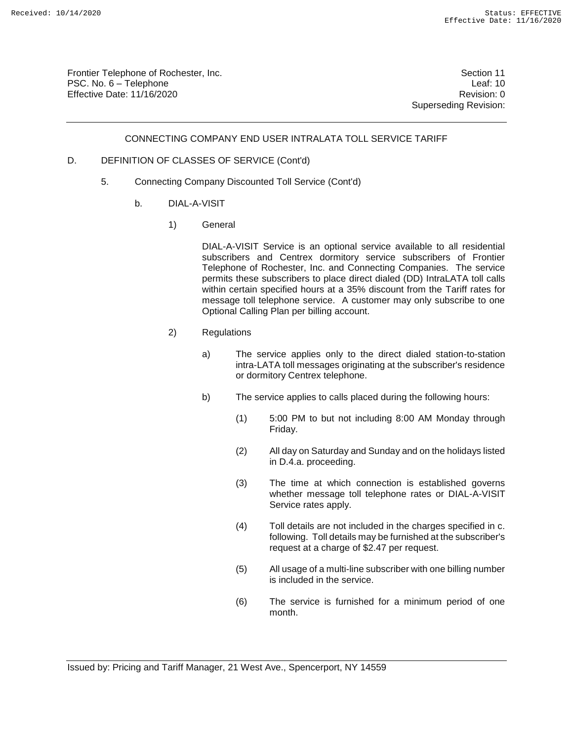Frontier Telephone of Rochester, Inc. Section 11 PSC. No. 6 – Telephone Leaf: 10 Effective Date: 11/16/2020 **Review Accounts** Effective Date: 0

Superseding Revision:

#### CONNECTING COMPANY END USER INTRALATA TOLL SERVICE TARIFF

#### D. DEFINITION OF CLASSES OF SERVICE (Cont'd)

- 5. Connecting Company Discounted Toll Service (Cont'd)
	- b. DIAL-A-VISIT
		- 1) General

DIAL-A-VISIT Service is an optional service available to all residential subscribers and Centrex dormitory service subscribers of Frontier Telephone of Rochester, Inc. and Connecting Companies. The service permits these subscribers to place direct dialed (DD) IntraLATA toll calls within certain specified hours at a 35% discount from the Tariff rates for message toll telephone service. A customer may only subscribe to one Optional Calling Plan per billing account.

- 2) Regulations
	- a) The service applies only to the direct dialed station-to-station intra-LATA toll messages originating at the subscriber's residence or dormitory Centrex telephone.
	- b) The service applies to calls placed during the following hours:
		- (1) 5:00 PM to but not including 8:00 AM Monday through Friday.
		- (2) All day on Saturday and Sunday and on the holidays listed in D.4.a. proceeding.
		- (3) The time at which connection is established governs whether message toll telephone rates or DIAL-A-VISIT Service rates apply.
		- (4) Toll details are not included in the charges specified in c. following. Toll details may be furnished at the subscriber's request at a charge of \$2.47 per request.
		- (5) All usage of a multi-line subscriber with one billing number is included in the service.
		- (6) The service is furnished for a minimum period of one month.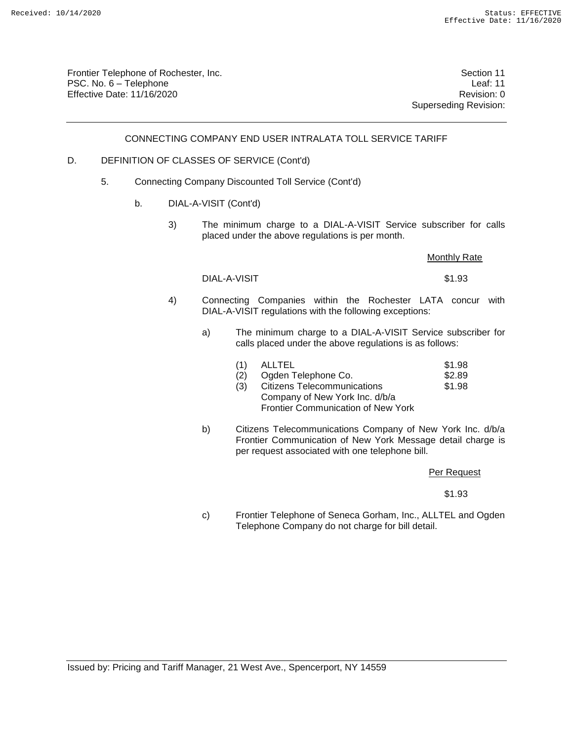Frontier Telephone of Rochester, Inc. Section 11 PSC. No. 6 – Telephone Leaf: 11 Effective Date: 11/16/2020 Revision: 0

Superseding Revision:

CONNECTING COMPANY END USER INTRALATA TOLL SERVICE TARIFF

#### D. DEFINITION OF CLASSES OF SERVICE (Cont'd)

- 5. Connecting Company Discounted Toll Service (Cont'd)
	- b. DIAL-A-VISIT (Cont'd)
		- 3) The minimum charge to a DIAL-A-VISIT Service subscriber for calls placed under the above regulations is per month.

#### **Monthly Rate**

DIAL-A-VISIT \$1.93

- 4) Connecting Companies within the Rochester LATA concur with DIAL-A-VISIT regulations with the following exceptions:
	- a) The minimum charge to a DIAL-A-VISIT Service subscriber for calls placed under the above regulations is as follows:

| (1) | ALLTEL | \$1.98 |
|-----|--------|--------|
|     |        |        |

- (2) Ogden Telephone Co. 62.89<br>(3) Citizens Telecommunications 61.98 (3) Citizens Telecommunications Company of New York Inc. d/b/a Frontier Communication of New York
- b) Citizens Telecommunications Company of New York Inc. d/b/a Frontier Communication of New York Message detail charge is per request associated with one telephone bill.

Per Request

\$1.93

c) Frontier Telephone of Seneca Gorham, Inc., ALLTEL and Ogden Telephone Company do not charge for bill detail.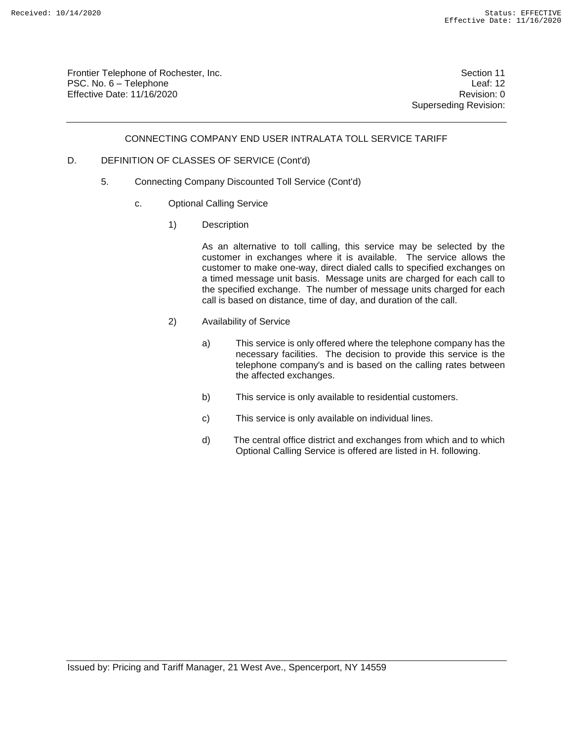Frontier Telephone of Rochester, Inc. Section 11 PSC. No. 6 – Telephone Leaf: 12 Effective Date: 11/16/2020 **Review Accounts** Effective Date: 0

Superseding Revision:

#### CONNECTING COMPANY END USER INTRALATA TOLL SERVICE TARIFF

#### D. DEFINITION OF CLASSES OF SERVICE (Cont'd)

- 5. Connecting Company Discounted Toll Service (Cont'd)
	- c. Optional Calling Service
		- 1) Description

As an alternative to toll calling, this service may be selected by the customer in exchanges where it is available. The service allows the customer to make one-way, direct dialed calls to specified exchanges on a timed message unit basis. Message units are charged for each call to the specified exchange. The number of message units charged for each call is based on distance, time of day, and duration of the call.

- 2) Availability of Service
	- a) This service is only offered where the telephone company has the necessary facilities. The decision to provide this service is the telephone company's and is based on the calling rates between the affected exchanges.
	- b) This service is only available to residential customers.
	- c) This service is only available on individual lines.
	- d) The central office district and exchanges from which and to which Optional Calling Service is offered are listed in H. following.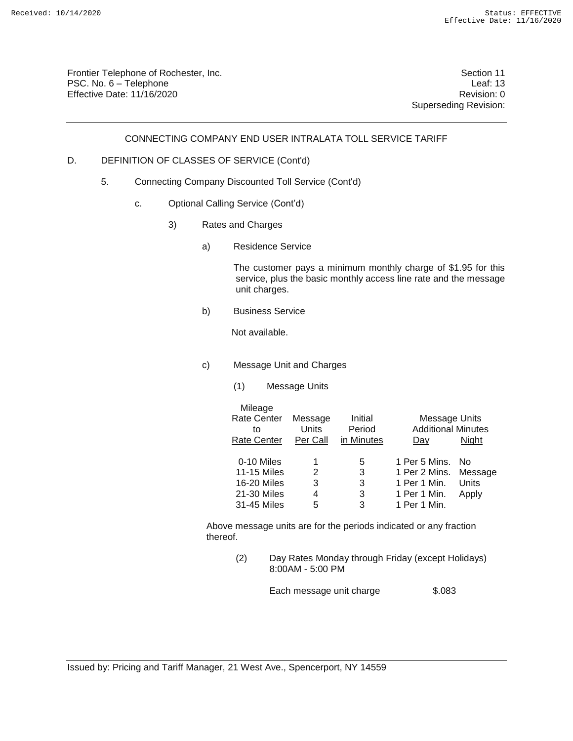Frontier Telephone of Rochester, Inc. Section 11 PSC. No. 6 – Telephone Leaf: 13 Effective Date: 11/16/2020 **Review Account 2018** Revision: 0

Superseding Revision:

#### CONNECTING COMPANY END USER INTRALATA TOLL SERVICE TARIFF

## D. DEFINITION OF CLASSES OF SERVICE (Cont'd)

- 5. Connecting Company Discounted Toll Service (Cont'd)
	- c. Optional Calling Service (Cont'd)
		- 3) Rates and Charges
			- a) Residence Service

The customer pays a minimum monthly charge of \$1.95 for this service, plus the basic monthly access line rate and the message unit charges.

b) Business Service

Not available.

- c) Message Unit and Charges
	- (1) Message Units

| Mileage<br><b>Rate Center</b><br>to | Message<br>Units | Initial<br>Period | Message Units<br><b>Additional Minutes</b> |       |
|-------------------------------------|------------------|-------------------|--------------------------------------------|-------|
| <b>Rate Center</b>                  | Per Call         | in Minutes        | Day                                        | Niaht |
| 0-10 Miles                          |                  | 5                 | 1 Per 5 Mins.                              | - No  |
| <b>11-15 Miles</b>                  | 2                | 3                 | 1 Per 2 Mins. Message                      |       |
| <b>16-20 Miles</b>                  | 3                | 3                 | 1 Per 1 Min.                               | Units |
| 21-30 Miles                         | 4                | 3                 | 1 Per 1 Min.                               | Apply |
| 31-45 Miles                         | 5                | 3                 | 1 Per 1 Min.                               |       |

Above message units are for the periods indicated or any fraction thereof.

> (2) Day Rates Monday through Friday (except Holidays) 8:00AM - 5:00 PM

> > Each message unit charge \$.083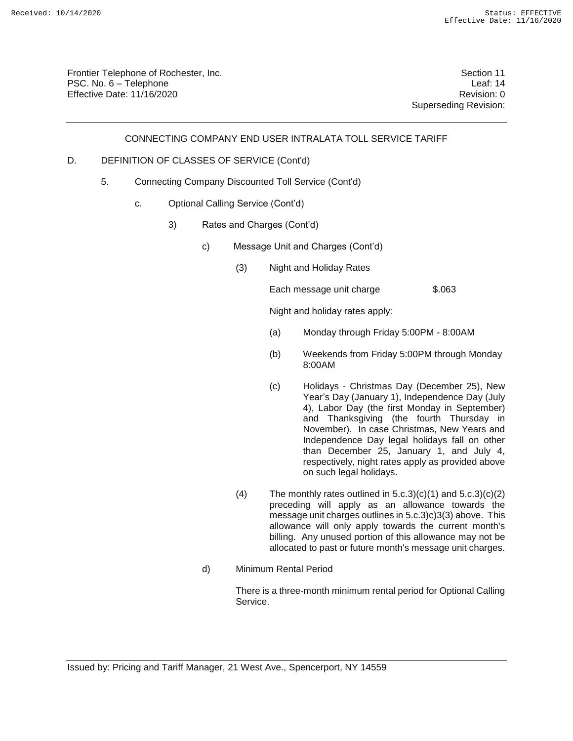Frontier Telephone of Rochester, Inc. Section 11 PSC. No. 6 – Telephone Leaf: 14 Effective Date: 11/16/2020 **Review Accounts** Effective Date: 0

Superseding Revision:

CONNECTING COMPANY END USER INTRALATA TOLL SERVICE TARIFF

#### D. DEFINITION OF CLASSES OF SERVICE (Cont'd)

- 5. Connecting Company Discounted Toll Service (Cont'd)
	- c. Optional Calling Service (Cont'd)
		- 3) Rates and Charges (Cont'd)
			- c) Message Unit and Charges (Cont'd)
				- (3) Night and Holiday Rates

Each message unit charge \$.063

Night and holiday rates apply:

- (a) Monday through Friday 5:00PM 8:00AM
- (b) Weekends from Friday 5:00PM through Monday 8:00AM
- (c) Holidays Christmas Day (December 25), New Year's Day (January 1), Independence Day (July 4), Labor Day (the first Monday in September) and Thanksgiving (the fourth Thursday in November). In case Christmas, New Years and Independence Day legal holidays fall on other than December 25, January 1, and July 4, respectively, night rates apply as provided above on such legal holidays.
- (4) The monthly rates outlined in  $5.c.3$ )(c)(1) and  $5.c.3$ )(c)(2) preceding will apply as an allowance towards the message unit charges outlines in 5.c.3)c)3(3) above. This allowance will only apply towards the current month's billing. Any unused portion of this allowance may not be allocated to past or future month's message unit charges.
- d) Minimum Rental Period

There is a three-month minimum rental period for Optional Calling Service.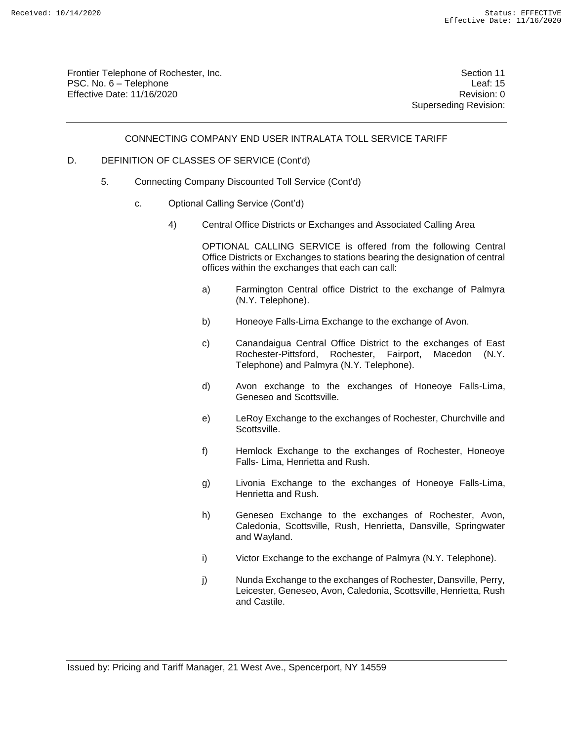Frontier Telephone of Rochester, Inc. Section 11 PSC. No. 6 – Telephone Leaf: 15 Effective Date: 11/16/2020 **Review Accounts** Effective Date: 0

Superseding Revision:

#### CONNECTING COMPANY END USER INTRALATA TOLL SERVICE TARIFF

#### D. DEFINITION OF CLASSES OF SERVICE (Cont'd)

- 5. Connecting Company Discounted Toll Service (Cont'd)
	- c. Optional Calling Service (Cont'd)
		- 4) Central Office Districts or Exchanges and Associated Calling Area

OPTIONAL CALLING SERVICE is offered from the following Central Office Districts or Exchanges to stations bearing the designation of central offices within the exchanges that each can call:

- a) Farmington Central office District to the exchange of Palmyra (N.Y. Telephone).
- b) Honeoye Falls-Lima Exchange to the exchange of Avon.
- c) Canandaigua Central Office District to the exchanges of East Rochester-Pittsford, Rochester, Fairport, Macedon (N.Y. Telephone) and Palmyra (N.Y. Telephone).
- d) Avon exchange to the exchanges of Honeoye Falls-Lima, Geneseo and Scottsville.
- e) LeRoy Exchange to the exchanges of Rochester, Churchville and Scottsville.
- f) Hemlock Exchange to the exchanges of Rochester, Honeoye Falls- Lima, Henrietta and Rush.
- g) Livonia Exchange to the exchanges of Honeoye Falls-Lima, Henrietta and Rush.
- h) Geneseo Exchange to the exchanges of Rochester, Avon, Caledonia, Scottsville, Rush, Henrietta, Dansville, Springwater and Wayland.
- i) Victor Exchange to the exchange of Palmyra (N.Y. Telephone).
- j) Nunda Exchange to the exchanges of Rochester, Dansville, Perry, Leicester, Geneseo, Avon, Caledonia, Scottsville, Henrietta, Rush and Castile.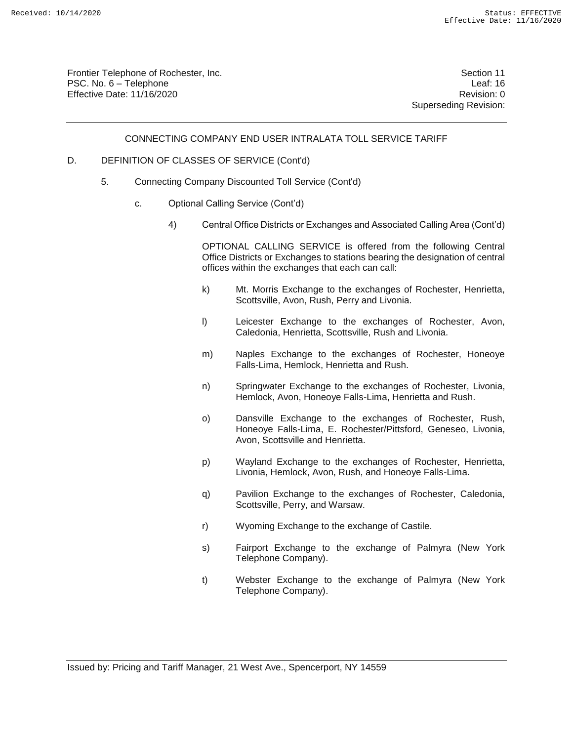Frontier Telephone of Rochester, Inc. Section 11 PSC. No. 6 – Telephone Leaf: 16 Effective Date: 11/16/2020 **Review Accounts** Effective Date: 0

Superseding Revision:

#### CONNECTING COMPANY END USER INTRALATA TOLL SERVICE TARIFF

#### D. DEFINITION OF CLASSES OF SERVICE (Cont'd)

- 5. Connecting Company Discounted Toll Service (Cont'd)
	- c. Optional Calling Service (Cont'd)
		- 4) Central Office Districts or Exchanges and Associated Calling Area (Cont'd)

OPTIONAL CALLING SERVICE is offered from the following Central Office Districts or Exchanges to stations bearing the designation of central offices within the exchanges that each can call:

- k) Mt. Morris Exchange to the exchanges of Rochester, Henrietta, Scottsville, Avon, Rush, Perry and Livonia.
- l) Leicester Exchange to the exchanges of Rochester, Avon, Caledonia, Henrietta, Scottsville, Rush and Livonia.
- m) Naples Exchange to the exchanges of Rochester, Honeoye Falls-Lima, Hemlock, Henrietta and Rush.
- n) Springwater Exchange to the exchanges of Rochester, Livonia, Hemlock, Avon, Honeoye Falls-Lima, Henrietta and Rush.
- o) Dansville Exchange to the exchanges of Rochester, Rush, Honeoye Falls-Lima, E. Rochester/Pittsford, Geneseo, Livonia, Avon, Scottsville and Henrietta.
- p) Wayland Exchange to the exchanges of Rochester, Henrietta, Livonia, Hemlock, Avon, Rush, and Honeoye Falls-Lima.
- q) Pavilion Exchange to the exchanges of Rochester, Caledonia, Scottsville, Perry, and Warsaw.
- r) Wyoming Exchange to the exchange of Castile.
- s) Fairport Exchange to the exchange of Palmyra (New York Telephone Company).
- t) Webster Exchange to the exchange of Palmyra (New York Telephone Company).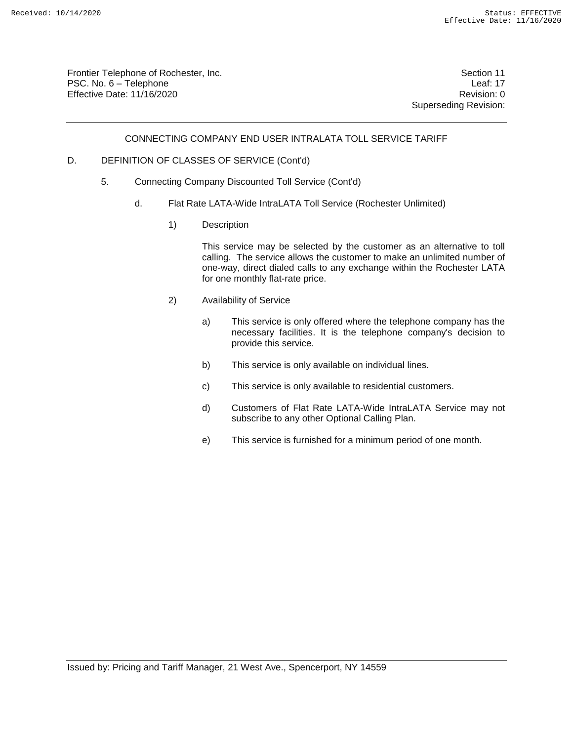Frontier Telephone of Rochester, Inc. Section 11 PSC. No. 6 – Telephone Leaf: 17 Effective Date: 11/16/2020 **Review Account 2018** Revision: 0

Superseding Revision:

#### CONNECTING COMPANY END USER INTRALATA TOLL SERVICE TARIFF

#### D. DEFINITION OF CLASSES OF SERVICE (Cont'd)

- 5. Connecting Company Discounted Toll Service (Cont'd)
	- d. Flat Rate LATA-Wide IntraLATA Toll Service (Rochester Unlimited)
		- 1) Description

This service may be selected by the customer as an alternative to toll calling. The service allows the customer to make an unlimited number of one-way, direct dialed calls to any exchange within the Rochester LATA for one monthly flat-rate price.

- 2) Availability of Service
	- a) This service is only offered where the telephone company has the necessary facilities. It is the telephone company's decision to provide this service.
	- b) This service is only available on individual lines.
	- c) This service is only available to residential customers.
	- d) Customers of Flat Rate LATA-Wide IntraLATA Service may not subscribe to any other Optional Calling Plan.
	- e) This service is furnished for a minimum period of one month.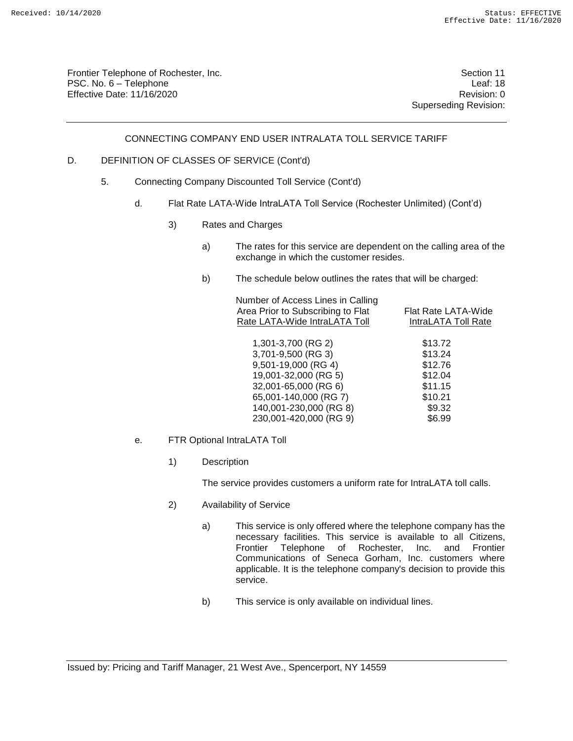Frontier Telephone of Rochester, Inc. Section 11 PSC. No. 6 – Telephone Leaf: 18 Effective Date: 11/16/2020 **Review Account 2018** Revision: 0

Superseding Revision:

#### CONNECTING COMPANY END USER INTRALATA TOLL SERVICE TARIFF

#### D. DEFINITION OF CLASSES OF SERVICE (Cont'd)

- 5. Connecting Company Discounted Toll Service (Cont'd)
	- d. Flat Rate LATA-Wide IntraLATA Toll Service (Rochester Unlimited) (Cont'd)
		- 3) Rates and Charges
			- a) The rates for this service are dependent on the calling area of the exchange in which the customer resides.
			- b) The schedule below outlines the rates that will be charged:

| Number of Access Lines in Calling<br>Area Prior to Subscribing to Flat<br>Rate LATA-Wide IntraLATA Toll | Flat Rate LATA-Wide<br>IntraLATA Toll Rate |
|---------------------------------------------------------------------------------------------------------|--------------------------------------------|
| 1,301-3,700 (RG 2)                                                                                      | \$13.72                                    |
| 3,701-9,500 (RG 3)                                                                                      | \$13.24                                    |
| 9,501-19,000 (RG 4)                                                                                     | \$12.76                                    |
| 19,001-32,000 (RG 5)                                                                                    | \$12.04                                    |
| 32,001-65,000 (RG 6)                                                                                    | \$11.15                                    |
| 65,001-140,000 (RG 7)                                                                                   | \$10.21                                    |
| 140,001-230,000 (RG 8)                                                                                  | \$9.32                                     |
| 230,001-420,000 (RG 9)                                                                                  | \$6.99                                     |
|                                                                                                         |                                            |

- e. FTR Optional IntraLATA Toll
	- 1) Description

The service provides customers a uniform rate for IntraLATA toll calls.

- 2) Availability of Service
	- a) This service is only offered where the telephone company has the necessary facilities. This service is available to all Citizens, Frontier Telephone of Rochester, Inc. and Frontier Communications of Seneca Gorham, Inc. customers where applicable. It is the telephone company's decision to provide this service.
	- b) This service is only available on individual lines.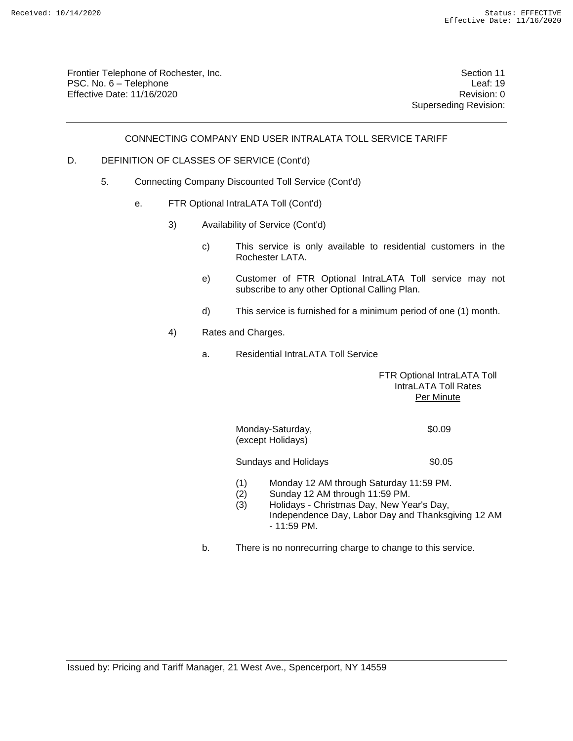Frontier Telephone of Rochester, Inc. Section 11 PSC. No. 6 – Telephone Leaf: 19 Effective Date: 11/16/2020 **Review Account 2018** Revision: 0

Superseding Revision:

#### CONNECTING COMPANY END USER INTRALATA TOLL SERVICE TARIFF

#### D. DEFINITION OF CLASSES OF SERVICE (Cont'd)

- 5. Connecting Company Discounted Toll Service (Cont'd)
	- e. FTR Optional IntraLATA Toll (Cont'd)
		- 3) Availability of Service (Cont'd)
			- c) This service is only available to residential customers in the Rochester LATA.
			- e) Customer of FTR Optional IntraLATA Toll service may not subscribe to any other Optional Calling Plan.
			- d) This service is furnished for a minimum period of one (1) month.
		- 4) Rates and Charges.
			- a. Residential IntraLATA Toll Service

FTR Optional IntraLATA Toll IntraLATA Toll Rates Per Minute

Monday-Saturday, 60.09 (except Holidays)

Sundays and Holidays **\$0.05** 

- (1) Monday 12 AM through Saturday 11:59 PM.
- (2) Sunday 12 AM through 11:59 PM.
- (3) Holidays Christmas Day, New Year's Day, Independence Day, Labor Day and Thanksgiving 12 AM - 11:59 PM.
- b. There is no nonrecurring charge to change to this service.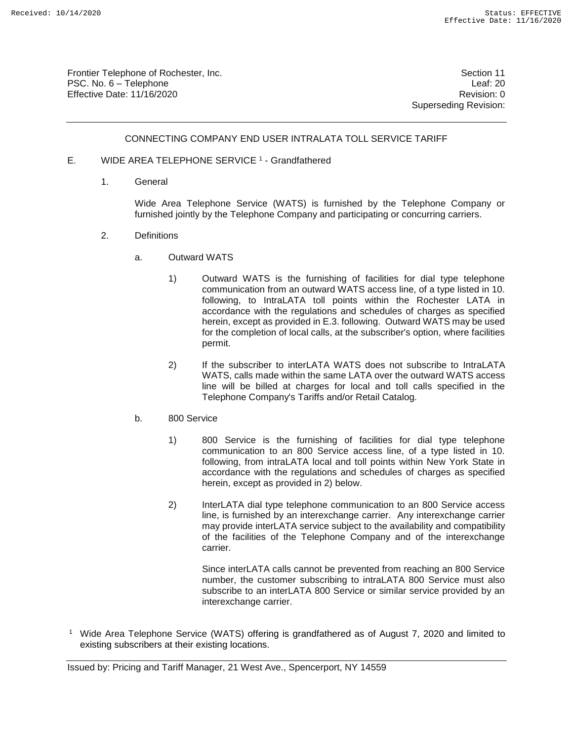Frontier Telephone of Rochester, Inc. Section 11 PSC. No. 6 – Telephone Leaf: 20 Effective Date: 11/16/2020 **Review Accounts** Effective Date: 0

Superseding Revision:

#### CONNECTING COMPANY END USER INTRALATA TOLL SERVICE TARIFF

- E. WIDE AREA TELEPHONE SERVICE<sup>1</sup> Grandfathered
	- 1. General

Wide Area Telephone Service (WATS) is furnished by the Telephone Company or furnished jointly by the Telephone Company and participating or concurring carriers.

- 2. Definitions
	- a. Outward WATS
		- 1) Outward WATS is the furnishing of facilities for dial type telephone communication from an outward WATS access line, of a type listed in 10. following, to IntraLATA toll points within the Rochester LATA in accordance with the regulations and schedules of charges as specified herein, except as provided in E.3. following. Outward WATS may be used for the completion of local calls, at the subscriber's option, where facilities permit.
		- 2) If the subscriber to interLATA WATS does not subscribe to IntraLATA WATS, calls made within the same LATA over the outward WATS access line will be billed at charges for local and toll calls specified in the Telephone Company's Tariffs and/or Retail Catalog.
	- b. 800 Service
		- 1) 800 Service is the furnishing of facilities for dial type telephone communication to an 800 Service access line, of a type listed in 10. following, from intraLATA local and toll points within New York State in accordance with the regulations and schedules of charges as specified herein, except as provided in 2) below.
		- 2) InterLATA dial type telephone communication to an 800 Service access line, is furnished by an interexchange carrier. Any interexchange carrier may provide interLATA service subject to the availability and compatibility of the facilities of the Telephone Company and of the interexchange carrier.

Since interLATA calls cannot be prevented from reaching an 800 Service number, the customer subscribing to intraLATA 800 Service must also subscribe to an interLATA 800 Service or similar service provided by an interexchange carrier.

<sup>1</sup> Wide Area Telephone Service (WATS) offering is grandfathered as of August 7, 2020 and limited to existing subscribers at their existing locations.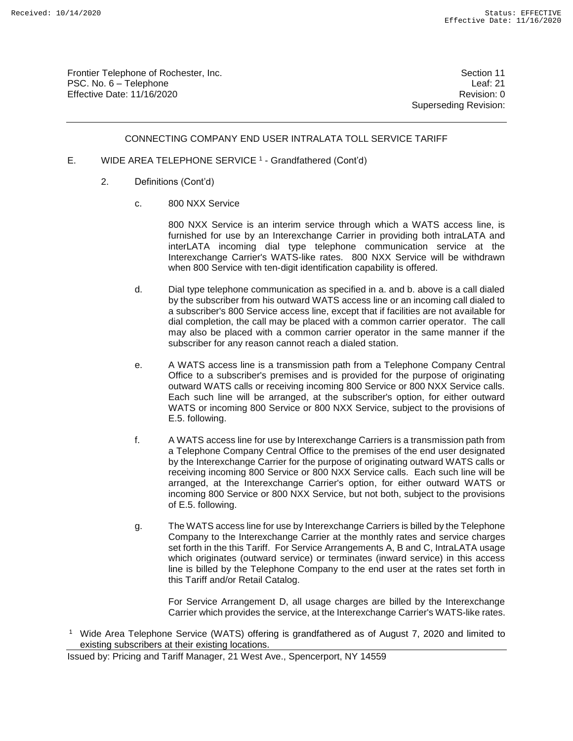Frontier Telephone of Rochester, Inc. Section 11 PSC. No. 6 – Telephone Leaf: 21 Effective Date: 11/16/2020 **Review Accounts** Effective Date: 0

Superseding Revision:

#### CONNECTING COMPANY END USER INTRALATA TOLL SERVICE TARIFF

- E. WIDE AREA TELEPHONE SERVICE<sup>1</sup> Grandfathered (Cont'd)
	- 2. Definitions (Cont'd)
		- c. 800 NXX Service

800 NXX Service is an interim service through which a WATS access line, is furnished for use by an Interexchange Carrier in providing both intraLATA and interLATA incoming dial type telephone communication service at the Interexchange Carrier's WATS-like rates. 800 NXX Service will be withdrawn when 800 Service with ten-digit identification capability is offered.

- d. Dial type telephone communication as specified in a. and b. above is a call dialed by the subscriber from his outward WATS access line or an incoming call dialed to a subscriber's 800 Service access line, except that if facilities are not available for dial completion, the call may be placed with a common carrier operator. The call may also be placed with a common carrier operator in the same manner if the subscriber for any reason cannot reach a dialed station.
- e. A WATS access line is a transmission path from a Telephone Company Central Office to a subscriber's premises and is provided for the purpose of originating outward WATS calls or receiving incoming 800 Service or 800 NXX Service calls. Each such line will be arranged, at the subscriber's option, for either outward WATS or incoming 800 Service or 800 NXX Service, subject to the provisions of E.5. following.
- f. A WATS access line for use by Interexchange Carriers is a transmission path from a Telephone Company Central Office to the premises of the end user designated by the Interexchange Carrier for the purpose of originating outward WATS calls or receiving incoming 800 Service or 800 NXX Service calls. Each such line will be arranged, at the Interexchange Carrier's option, for either outward WATS or incoming 800 Service or 800 NXX Service, but not both, subject to the provisions of E.5. following.
- g. The WATS access line for use by Interexchange Carriers is billed by the Telephone Company to the Interexchange Carrier at the monthly rates and service charges set forth in the this Tariff. For Service Arrangements A, B and C, IntraLATA usage which originates (outward service) or terminates (inward service) in this access line is billed by the Telephone Company to the end user at the rates set forth in this Tariff and/or Retail Catalog.

For Service Arrangement D, all usage charges are billed by the Interexchange Carrier which provides the service, at the Interexchange Carrier's WATS-like rates.

<sup>&</sup>lt;sup>1</sup> Wide Area Telephone Service (WATS) offering is grandfathered as of August 7, 2020 and limited to existing subscribers at their existing locations.

Issued by: Pricing and Tariff Manager, 21 West Ave., Spencerport, NY 14559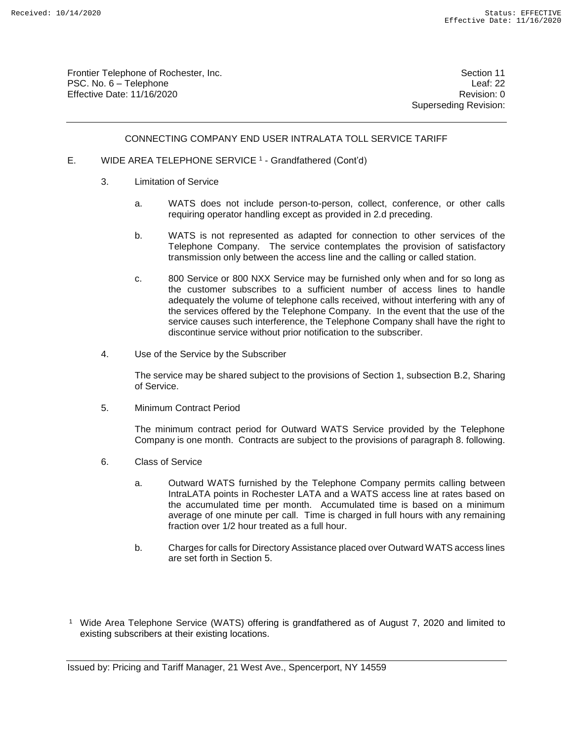Frontier Telephone of Rochester, Inc. Section 11 PSC. No. 6 – Telephone Leaf: 22 Effective Date: 11/16/2020 **Review Accounts** Effective Date: 0

Superseding Revision:

#### CONNECTING COMPANY END USER INTRALATA TOLL SERVICE TARIFF

- E. WIDE AREA TELEPHONE SERVICE<sup>1</sup> Grandfathered (Cont'd)
	- 3. Limitation of Service
		- a. WATS does not include person-to-person, collect, conference, or other calls requiring operator handling except as provided in 2.d preceding.
		- b. WATS is not represented as adapted for connection to other services of the Telephone Company. The service contemplates the provision of satisfactory transmission only between the access line and the calling or called station.
		- c. 800 Service or 800 NXX Service may be furnished only when and for so long as the customer subscribes to a sufficient number of access lines to handle adequately the volume of telephone calls received, without interfering with any of the services offered by the Telephone Company. In the event that the use of the service causes such interference, the Telephone Company shall have the right to discontinue service without prior notification to the subscriber.
	- 4. Use of the Service by the Subscriber

The service may be shared subject to the provisions of Section 1, subsection B.2, Sharing of Service.

5. Minimum Contract Period

The minimum contract period for Outward WATS Service provided by the Telephone Company is one month. Contracts are subject to the provisions of paragraph 8. following.

- 6. Class of Service
	- a. Outward WATS furnished by the Telephone Company permits calling between IntraLATA points in Rochester LATA and a WATS access line at rates based on the accumulated time per month. Accumulated time is based on a minimum average of one minute per call. Time is charged in full hours with any remaining fraction over 1/2 hour treated as a full hour.
	- b. Charges for calls for Directory Assistance placed over Outward WATS access lines are set forth in Section 5.
- <sup>1</sup> Wide Area Telephone Service (WATS) offering is grandfathered as of August 7, 2020 and limited to existing subscribers at their existing locations.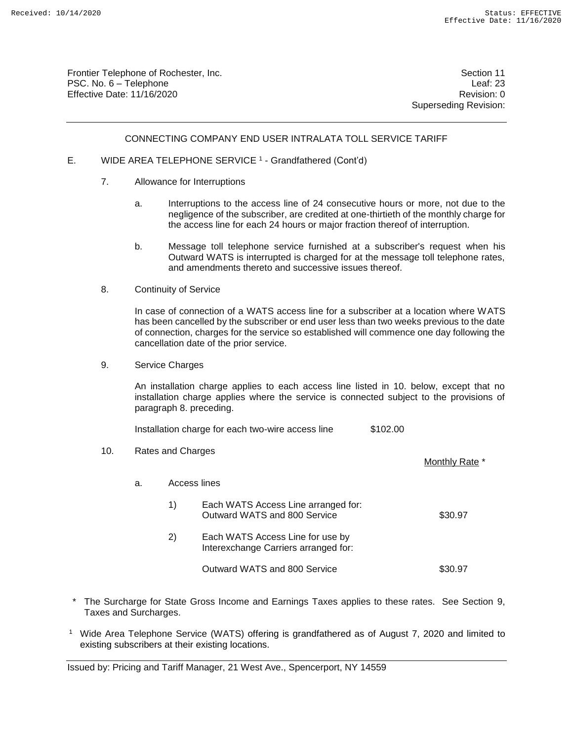Frontier Telephone of Rochester, Inc. Section 11 PSC. No. 6 – Telephone Leaf: 23 Effective Date: 11/16/2020 **Review Account 2018** Revision: 0

Superseding Revision:

Monthly Rate \*

#### CONNECTING COMPANY END USER INTRALATA TOLL SERVICE TARIFF

- E. WIDE AREA TELEPHONE SERVICE<sup>1</sup> Grandfathered (Cont'd)
	- 7. Allowance for Interruptions
		- a. Interruptions to the access line of 24 consecutive hours or more, not due to the negligence of the subscriber, are credited at one-thirtieth of the monthly charge for the access line for each 24 hours or major fraction thereof of interruption.
		- b. Message toll telephone service furnished at a subscriber's request when his Outward WATS is interrupted is charged for at the message toll telephone rates, and amendments thereto and successive issues thereof.
	- 8. Continuity of Service

In case of connection of a WATS access line for a subscriber at a location where WATS has been cancelled by the subscriber or end user less than two weeks previous to the date of connection, charges for the service so established will commence one day following the cancellation date of the prior service.

9. Service Charges

An installation charge applies to each access line listed in 10. below, except that no installation charge applies where the service is connected subject to the provisions of paragraph 8. preceding.

| Installation charge for each two-wire access line | \$102.00 |  |
|---------------------------------------------------|----------|--|
|---------------------------------------------------|----------|--|

10. Rates and Charges

a. Access lines

| 1)           | Each WATS Access Line arranged for:<br>Outward WATS and 800 Service      | \$30.97 |
|--------------|--------------------------------------------------------------------------|---------|
| $\mathbf{2}$ | Each WATS Access Line for use by<br>Interexchange Carriers arranged for: |         |
|              | Outward WATS and 800 Service                                             | \$30.97 |

- The Surcharge for State Gross Income and Earnings Taxes applies to these rates. See Section 9, Taxes and Surcharges.
- <sup>1</sup> Wide Area Telephone Service (WATS) offering is grandfathered as of August 7, 2020 and limited to existing subscribers at their existing locations.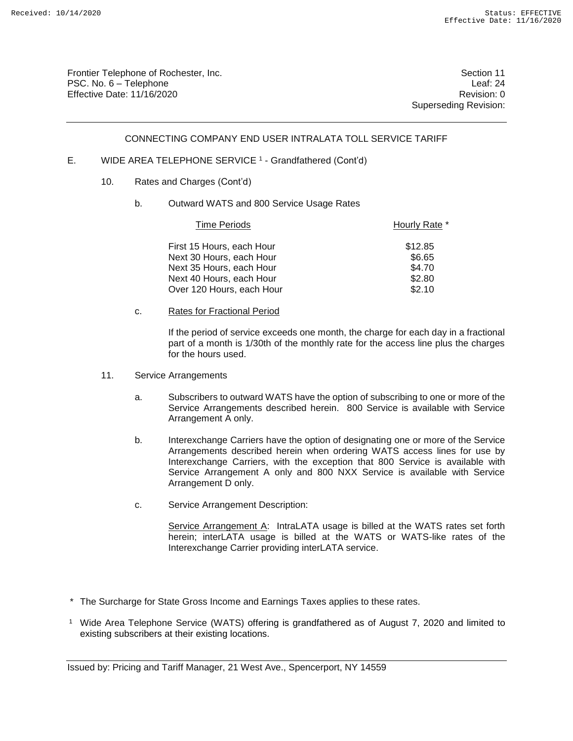Frontier Telephone of Rochester, Inc. Section 11 PSC. No. 6 – Telephone Leaf: 24 Effective Date: 11/16/2020 **Review Accounts** Effective Date: 0

Superseding Revision:

#### CONNECTING COMPANY END USER INTRALATA TOLL SERVICE TARIFF

#### E. WIDE AREA TELEPHONE SERVICE<sup>1</sup> - Grandfathered (Cont'd)

- 10. Rates and Charges (Cont'd)
	- b. Outward WATS and 800 Service Usage Rates

| <b>Time Periods</b>       | Hourly Rate * |
|---------------------------|---------------|
| First 15 Hours, each Hour | \$12.85       |
| Next 30 Hours, each Hour  | \$6.65        |
| Next 35 Hours, each Hour  | \$4.70        |
| Next 40 Hours, each Hour  | \$2.80        |
| Over 120 Hours, each Hour | \$2.10        |

c. Rates for Fractional Period

If the period of service exceeds one month, the charge for each day in a fractional part of a month is 1/30th of the monthly rate for the access line plus the charges for the hours used.

- 11. Service Arrangements
	- a. Subscribers to outward WATS have the option of subscribing to one or more of the Service Arrangements described herein. 800 Service is available with Service Arrangement A only.
	- b. Interexchange Carriers have the option of designating one or more of the Service Arrangements described herein when ordering WATS access lines for use by Interexchange Carriers, with the exception that 800 Service is available with Service Arrangement A only and 800 NXX Service is available with Service Arrangement D only.
	- c. Service Arrangement Description:

Service Arrangement A: IntraLATA usage is billed at the WATS rates set forth herein; interLATA usage is billed at the WATS or WATS-like rates of the Interexchange Carrier providing interLATA service.

- \* The Surcharge for State Gross Income and Earnings Taxes applies to these rates.
- <sup>1</sup> Wide Area Telephone Service (WATS) offering is grandfathered as of August 7, 2020 and limited to existing subscribers at their existing locations.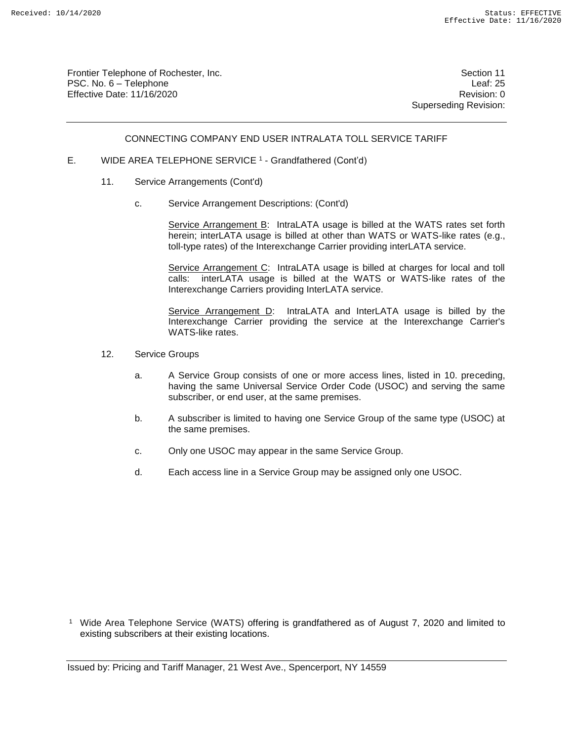Frontier Telephone of Rochester, Inc. Section 11 PSC. No. 6 – Telephone Leaf: 25 Effective Date: 11/16/2020 **Review Accounts** Effective Date: 0

Superseding Revision:

#### CONNECTING COMPANY END USER INTRALATA TOLL SERVICE TARIFF

- E. WIDE AREA TELEPHONE SERVICE<sup>1</sup> Grandfathered (Cont'd)
	- 11. Service Arrangements (Cont'd)
		- c. Service Arrangement Descriptions: (Cont'd)

Service Arrangement B: IntraLATA usage is billed at the WATS rates set forth herein; interLATA usage is billed at other than WATS or WATS-like rates (e.g., toll-type rates) of the Interexchange Carrier providing interLATA service.

Service Arrangement C: IntraLATA usage is billed at charges for local and toll calls: interLATA usage is billed at the WATS or WATS-like rates of the Interexchange Carriers providing InterLATA service.

Service Arrangement D: IntraLATA and InterLATA usage is billed by the Interexchange Carrier providing the service at the Interexchange Carrier's WATS-like rates

- 12. Service Groups
	- a. A Service Group consists of one or more access lines, listed in 10. preceding, having the same Universal Service Order Code (USOC) and serving the same subscriber, or end user, at the same premises.
	- b. A subscriber is limited to having one Service Group of the same type (USOC) at the same premises.
	- c. Only one USOC may appear in the same Service Group.
	- d. Each access line in a Service Group may be assigned only one USOC.

<sup>&</sup>lt;sup>1</sup> Wide Area Telephone Service (WATS) offering is grandfathered as of August 7, 2020 and limited to existing subscribers at their existing locations.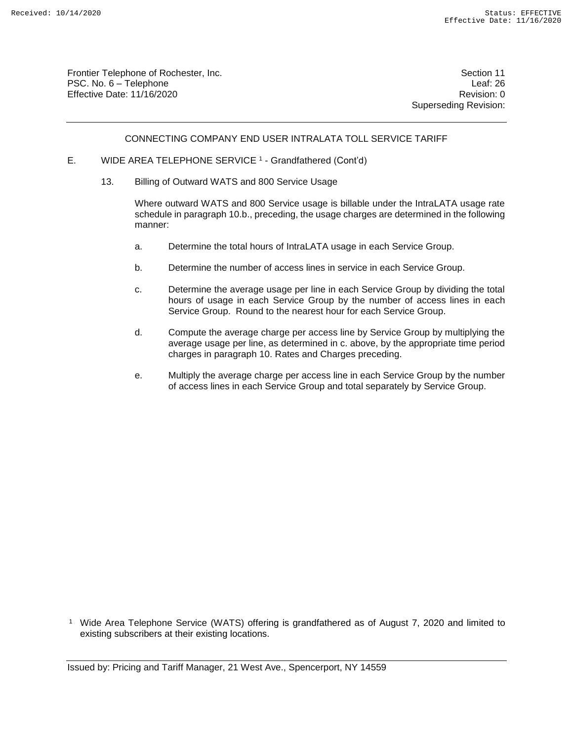Frontier Telephone of Rochester, Inc. Section 11 PSC. No. 6 – Telephone Leaf: 26 Effective Date: 11/16/2020 **Review Account 2018** Revision: 0

Superseding Revision:

#### CONNECTING COMPANY END USER INTRALATA TOLL SERVICE TARIFF

- E. WIDE AREA TELEPHONE SERVICE<sup>1</sup> Grandfathered (Cont'd)
	- 13. Billing of Outward WATS and 800 Service Usage

Where outward WATS and 800 Service usage is billable under the IntraLATA usage rate schedule in paragraph 10.b., preceding, the usage charges are determined in the following manner:

- a. Determine the total hours of IntraLATA usage in each Service Group.
- b. Determine the number of access lines in service in each Service Group.
- c. Determine the average usage per line in each Service Group by dividing the total hours of usage in each Service Group by the number of access lines in each Service Group. Round to the nearest hour for each Service Group.
- d. Compute the average charge per access line by Service Group by multiplying the average usage per line, as determined in c. above, by the appropriate time period charges in paragraph 10. Rates and Charges preceding.
- e. Multiply the average charge per access line in each Service Group by the number of access lines in each Service Group and total separately by Service Group.

<sup>1</sup> Wide Area Telephone Service (WATS) offering is grandfathered as of August 7, 2020 and limited to existing subscribers at their existing locations.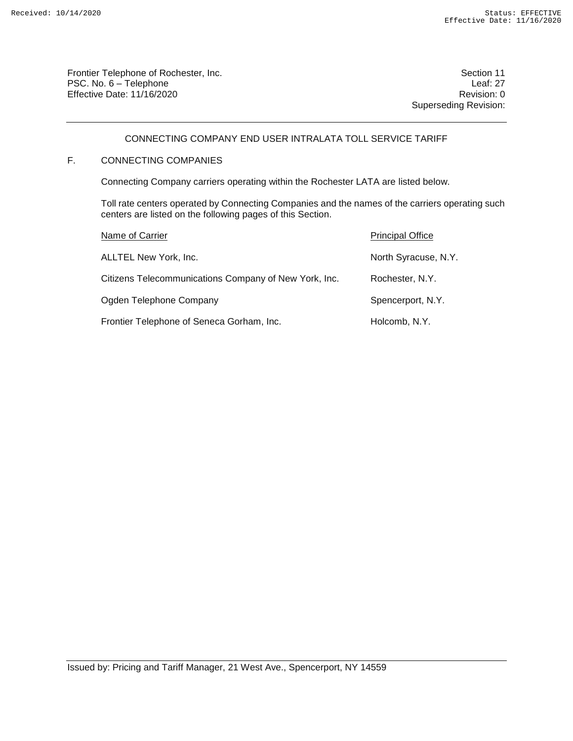Frontier Telephone of Rochester, Inc. Section 11 PSC. No. 6 – Telephone Leaf: 27 Effective Date: 11/16/2020 **Review Account 2018** Revision: 0

Superseding Revision:

# CONNECTING COMPANY END USER INTRALATA TOLL SERVICE TARIFF

# F. CONNECTING COMPANIES

Connecting Company carriers operating within the Rochester LATA are listed below.

Toll rate centers operated by Connecting Companies and the names of the carriers operating such centers are listed on the following pages of this Section.

| Name of Carrier                                       | <b>Principal Office</b> |
|-------------------------------------------------------|-------------------------|
| ALLTEL New York, Inc.                                 | North Syracuse, N.Y.    |
| Citizens Telecommunications Company of New York, Inc. | Rochester, N.Y.         |
| Ogden Telephone Company                               | Spencerport, N.Y.       |
| Frontier Telephone of Seneca Gorham, Inc.             | Holcomb, N.Y.           |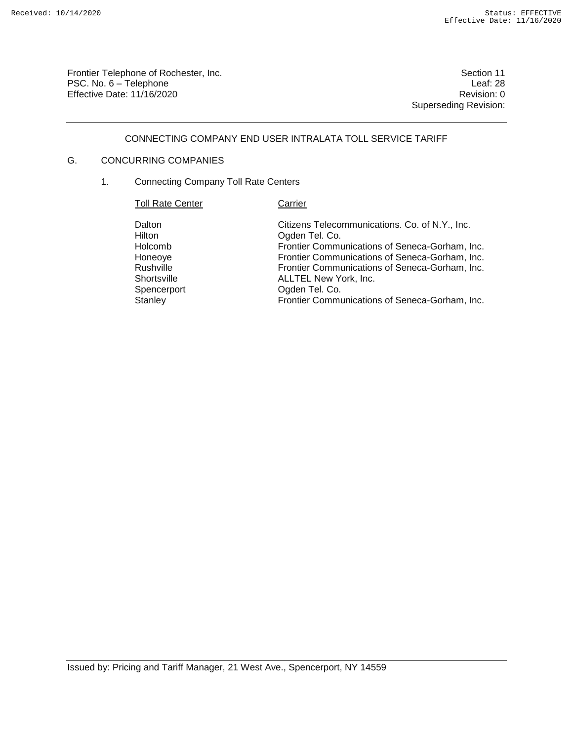Frontier Telephone of Rochester, Inc. Section 11 PSC. No. 6 – Telephone Leaf: 28<br>Effective Date: 11/16/2020 Effective Date:  $11/16/2020$ 

Superseding Revision:

## CONNECTING COMPANY END USER INTRALATA TOLL SERVICE TARIFF

# G. CONCURRING COMPANIES

1. Connecting Company Toll Rate Centers

| <b>Toll Rate Center</b>                                                                      | Carrier                                                                                                                                                                                                                                                                                                             |
|----------------------------------------------------------------------------------------------|---------------------------------------------------------------------------------------------------------------------------------------------------------------------------------------------------------------------------------------------------------------------------------------------------------------------|
| Dalton<br>Hilton<br>Holcomb<br>Honeoye<br>Rushville<br>Shortsville<br>Spencerport<br>Stanley | Citizens Telecommunications. Co. of N.Y., Inc.<br>Ogden Tel. Co.<br>Frontier Communications of Seneca-Gorham, Inc.<br>Frontier Communications of Seneca-Gorham, Inc.<br>Frontier Communications of Seneca-Gorham, Inc.<br>ALLTEL New York, Inc.<br>Ogden Tel. Co.<br>Frontier Communications of Seneca-Gorham, Inc. |
|                                                                                              |                                                                                                                                                                                                                                                                                                                     |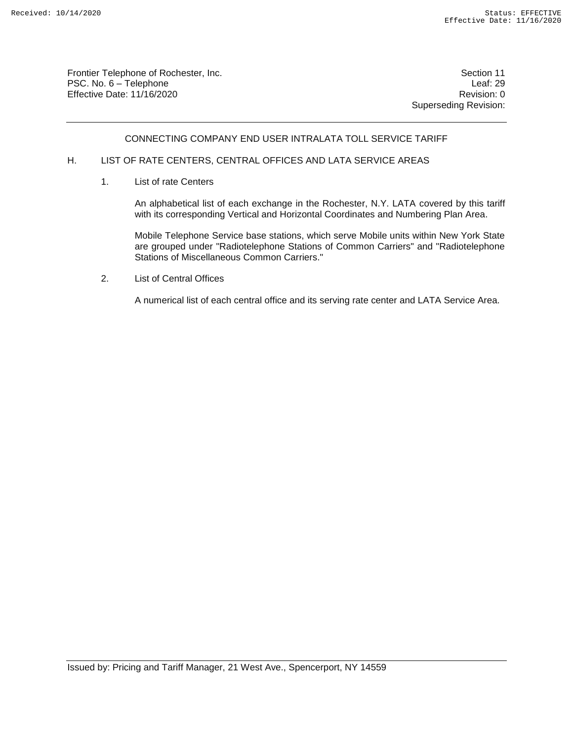Frontier Telephone of Rochester, Inc. Section 11 PSC. No. 6 – Telephone Leaf: 29 Effective Date: 11/16/2020 **Review Account 2018** Revision: 0

Superseding Revision:

#### CONNECTING COMPANY END USER INTRALATA TOLL SERVICE TARIFF

#### H. LIST OF RATE CENTERS, CENTRAL OFFICES AND LATA SERVICE AREAS

1. List of rate Centers

An alphabetical list of each exchange in the Rochester, N.Y. LATA covered by this tariff with its corresponding Vertical and Horizontal Coordinates and Numbering Plan Area.

Mobile Telephone Service base stations, which serve Mobile units within New York State are grouped under "Radiotelephone Stations of Common Carriers" and "Radiotelephone Stations of Miscellaneous Common Carriers."

2. List of Central Offices

A numerical list of each central office and its serving rate center and LATA Service Area.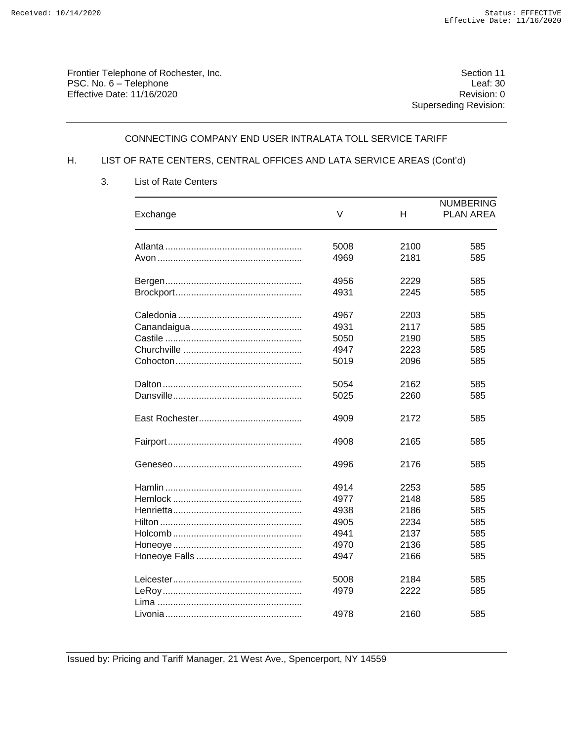Frontier Telephone of Rochester, Inc.<br>
PSC. No. 6 – Telephone<br>
Leaf: 30 PSC. No. 6 – Telephone Leaf: 30<br>Effective Date: 11/16/2020 Effective Date:  $11/16/2020$ 

Superseding Revision:

#### CONNECTING COMPANY END USER INTRALATA TOLL SERVICE TARIFF

# H. LIST OF RATE CENTERS, CENTRAL OFFICES AND LATA SERVICE AREAS (Cont'd)

| Exchange | V    | Н    | <b>NUMBERING</b><br><b>PLAN AREA</b> |
|----------|------|------|--------------------------------------|
|          | 5008 | 2100 | 585                                  |
|          | 4969 | 2181 | 585                                  |
|          | 4956 | 2229 | 585                                  |
|          | 4931 | 2245 | 585                                  |
|          | 4967 | 2203 | 585                                  |
|          | 4931 | 2117 | 585                                  |
|          | 5050 | 2190 | 585                                  |
|          | 4947 | 2223 | 585                                  |
|          | 5019 | 2096 | 585                                  |
|          | 5054 | 2162 | 585                                  |
|          | 5025 | 2260 | 585                                  |
|          | 4909 | 2172 | 585                                  |
|          | 4908 | 2165 | 585                                  |
|          | 4996 | 2176 | 585                                  |
|          | 4914 | 2253 | 585                                  |
|          | 4977 | 2148 | 585                                  |
|          | 4938 | 2186 | 585                                  |
|          | 4905 | 2234 | 585                                  |
|          | 4941 | 2137 | 585                                  |
|          | 4970 | 2136 | 585                                  |
|          | 4947 | 2166 | 585                                  |
|          | 5008 | 2184 | 585                                  |
|          | 4979 | 2222 | 585                                  |
|          | 4978 | 2160 | 585                                  |

3. List of Rate Centers

Issued by: Pricing and Tariff Manager, 21 West Ave., Spencerport, NY 14559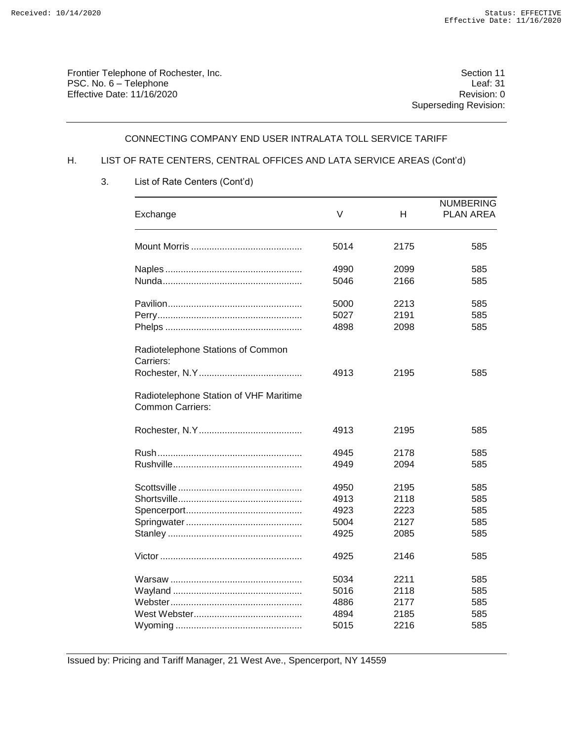Frontier Telephone of Rochester, Inc. Section 11 PSC. No. 6 – Telephone Leaf: 31<br>Effective Date: 11/16/2020 Effective Date:  $11/16/2020$ 

Superseding Revision:

#### CONNECTING COMPANY END USER INTRALATA TOLL SERVICE TARIFF

# H. LIST OF RATE CENTERS, CENTRAL OFFICES AND LATA SERVICE AREAS (Cont'd)

| Exchange                                                          | $\vee$ | н    | <b>NUMBERING</b><br><b>PLAN AREA</b> |
|-------------------------------------------------------------------|--------|------|--------------------------------------|
|                                                                   | 5014   | 2175 | 585                                  |
|                                                                   | 4990   | 2099 | 585                                  |
|                                                                   | 5046   | 2166 | 585                                  |
|                                                                   | 5000   | 2213 | 585                                  |
|                                                                   | 5027   | 2191 | 585                                  |
|                                                                   | 4898   | 2098 | 585                                  |
| Radiotelephone Stations of Common<br>Carriers:                    |        |      |                                      |
|                                                                   | 4913   | 2195 | 585                                  |
| Radiotelephone Station of VHF Maritime<br><b>Common Carriers:</b> |        |      |                                      |
|                                                                   | 4913   | 2195 | 585                                  |
|                                                                   | 4945   | 2178 | 585                                  |
|                                                                   | 4949   | 2094 | 585                                  |
|                                                                   | 4950   | 2195 | 585                                  |
|                                                                   | 4913   | 2118 | 585                                  |
|                                                                   | 4923   | 2223 | 585                                  |
|                                                                   | 5004   | 2127 | 585                                  |
|                                                                   | 4925   | 2085 | 585                                  |
|                                                                   | 4925   | 2146 | 585                                  |
|                                                                   | 5034   | 2211 | 585                                  |
|                                                                   | 5016   | 2118 | 585                                  |
|                                                                   | 4886   | 2177 | 585                                  |
|                                                                   | 4894   | 2185 | 585                                  |
|                                                                   | 5015   | 2216 | 585                                  |

3. List of Rate Centers (Cont'd)

Issued by: Pricing and Tariff Manager, 21 West Ave., Spencerport, NY 14559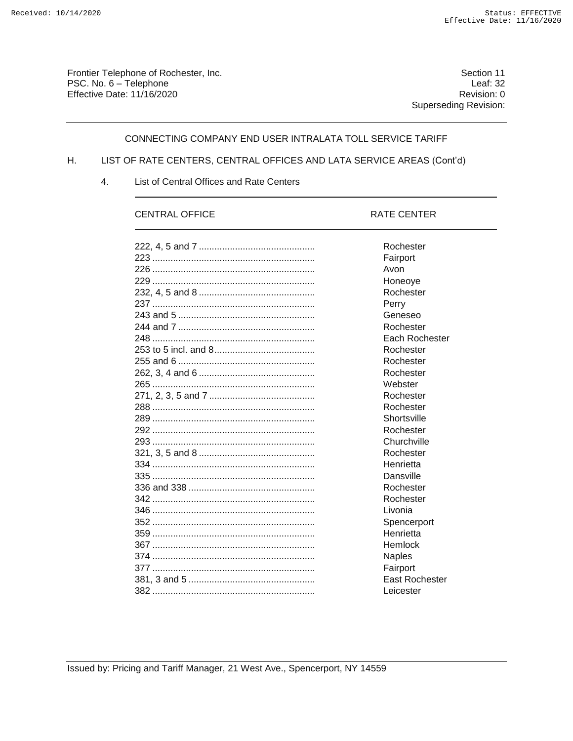Frontier Telephone of Rochester, Inc. Section 11 PSC. No. 6 – Telephone Leaf: 32<br>Effective Date: 11/16/2020 Effective Date:  $11/16/2020$ 

Superseding Revision:

### CONNECTING COMPANY END USER INTRALATA TOLL SERVICE TARIFF

# H. LIST OF RATE CENTERS, CENTRAL OFFICES AND LATA SERVICE AREAS (Cont'd)

4. List of Central Offices and Rate Centers

## CENTRAL OFFICE RATE CENTER

| Rochester             |
|-----------------------|
| Fairport              |
| Avon                  |
| Honeove               |
| Rochester             |
| Perry                 |
| Geneseo               |
| Rochester             |
| Each Rochester        |
| Rochester             |
| Rochester             |
| Rochester             |
| Webster               |
| Rochester             |
| Rochester             |
| Shortsville           |
| Rochester             |
| Churchville           |
| Rochester             |
| Henrietta             |
| Dansville             |
| Rochester             |
| Rochester             |
| Livonia               |
| Spencerport           |
| Henrietta             |
| Hemlock               |
| <b>Naples</b>         |
| Fairport              |
| <b>East Rochester</b> |
| Leicester             |
|                       |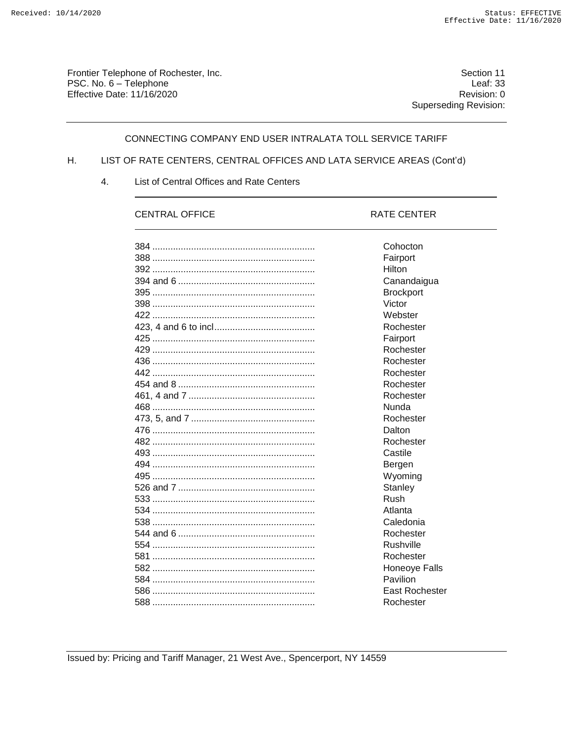Frontier Telephone of Rochester, Inc. PSC. No. 6 - Telephone Effective Date: 11/16/2020

Section 11 Leaf:  $33$ Revision: 0 **Superseding Revision:** 

### CONNECTING COMPANY END USER INTRALATA TOLL SERVICE TARIFF

#### LIST OF RATE CENTERS, CENTRAL OFFICES AND LATA SERVICE AREAS (Cont'd) Η.

4. List of Central Offices and Rate Centers

# **CENTRAL OFFICE**

#### RATE CENTER

| Cohocton              |
|-----------------------|
| Fairport              |
| Hilton                |
| Canandaigua           |
| <b>Brockport</b>      |
| Victor                |
| Webster               |
| Rochester             |
| Fairport              |
| Rochester             |
| Rochester             |
| Rochester             |
| Rochester             |
| Rochester             |
| Nunda                 |
| Rochester             |
| Dalton                |
| Rochester             |
| Castile               |
| Bergen                |
| Wyoming               |
| Stanley               |
| Rush                  |
| Atlanta               |
| Caledonia             |
| Rochester             |
| Rushville             |
| Rochester             |
| Honeoye Falls         |
| Pavilion              |
| <b>East Rochester</b> |
| Rochester             |